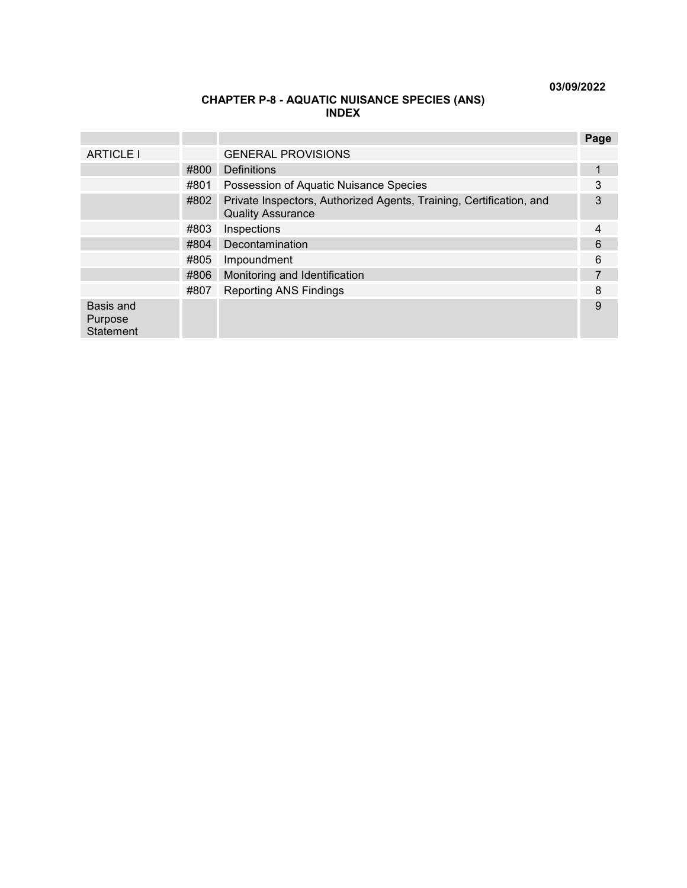**03/09/2022**

### **CHAPTER P-8 - AQUATIC NUISANCE SPECIES (ANS) INDEX**

|                                          |      |                                                                                                 | Page |
|------------------------------------------|------|-------------------------------------------------------------------------------------------------|------|
| <b>ARTICLE I</b>                         |      | <b>GENERAL PROVISIONS</b>                                                                       |      |
|                                          | #800 | Definitions                                                                                     | 1    |
|                                          | #801 | Possession of Aquatic Nuisance Species                                                          | 3    |
|                                          | #802 | Private Inspectors, Authorized Agents, Training, Certification, and<br><b>Quality Assurance</b> | 3    |
|                                          | #803 | Inspections                                                                                     | 4    |
|                                          | #804 | Decontamination                                                                                 | 6    |
|                                          | #805 | Impoundment                                                                                     | 6    |
|                                          | #806 | Monitoring and Identification                                                                   |      |
|                                          | #807 | <b>Reporting ANS Findings</b>                                                                   | 8    |
| Basis and<br>Purpose<br><b>Statement</b> |      |                                                                                                 | 9    |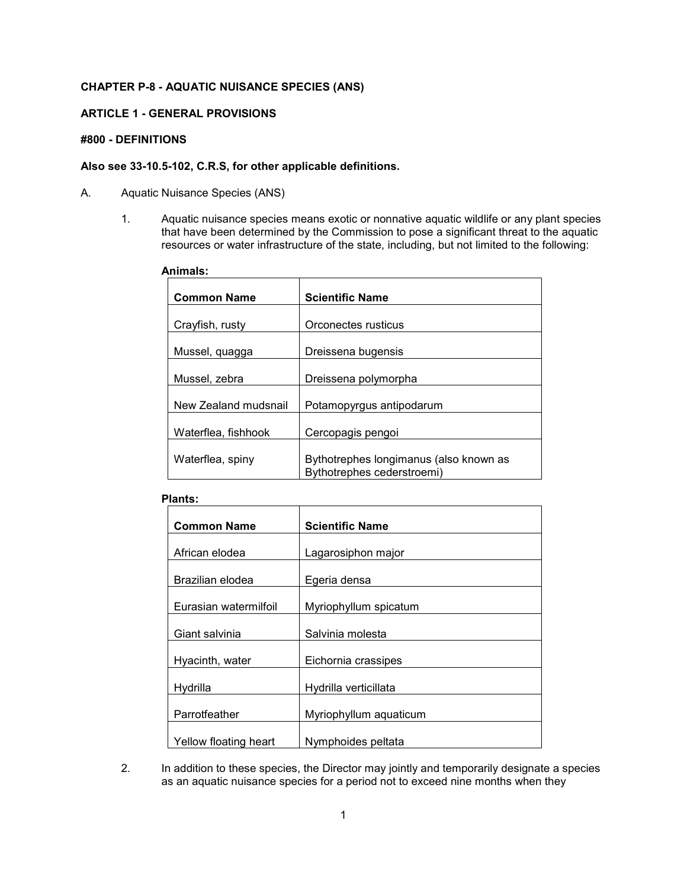# **CHAPTER P-8 - AQUATIC NUISANCE SPECIES (ANS)**

### <span id="page-1-0"></span>**ARTICLE 1 - GENERAL PROVISIONS**

#### **#800 - DEFINITIONS**

## <span id="page-1-1"></span>**Also see 33-10.5-102, C.R.S, for other applicable definitions.**

- A. Aquatic Nuisance Species (ANS)
	- 1. Aquatic nuisance species means exotic or nonnative aquatic wildlife or any plant species that have been determined by the Commission to pose a significant threat to the aquatic resources or water infrastructure of the state, including, but not limited to the following:

#### **Animals:**

| <b>Common Name</b>   | <b>Scientific Name</b>                                               |
|----------------------|----------------------------------------------------------------------|
| Crayfish, rusty      | Orconectes rusticus                                                  |
| Mussel, quagga       | Dreissena bugensis                                                   |
| Mussel, zebra        | Dreissena polymorpha                                                 |
| New Zealand mudsnail | Potamopyrgus antipodarum                                             |
| Waterflea, fishhook  | Cercopagis pengoi                                                    |
| Waterflea, spiny     | Bythotrephes longimanus (also known as<br>Bythotrephes cederstroemi) |

#### **Plants:**

| <b>Common Name</b>    | <b>Scientific Name</b> |
|-----------------------|------------------------|
|                       |                        |
| African elodea        | Lagarosiphon major     |
|                       |                        |
| Brazilian elodea      | Egeria densa           |
|                       |                        |
| Eurasian watermilfoil | Myriophyllum spicatum  |
|                       |                        |
| Giant salvinia        | Salvinia molesta       |
|                       |                        |
| Hyacinth, water       | Eichornia crassipes    |
|                       |                        |
| Hydrilla              | Hydrilla verticillata  |
|                       |                        |
| Parrotfeather         | Myriophyllum aquaticum |
|                       |                        |
| Yellow floating heart | Nymphoides peltata     |

2. In addition to these species, the Director may jointly and temporarily designate a species as an aquatic nuisance species for a period not to exceed nine months when they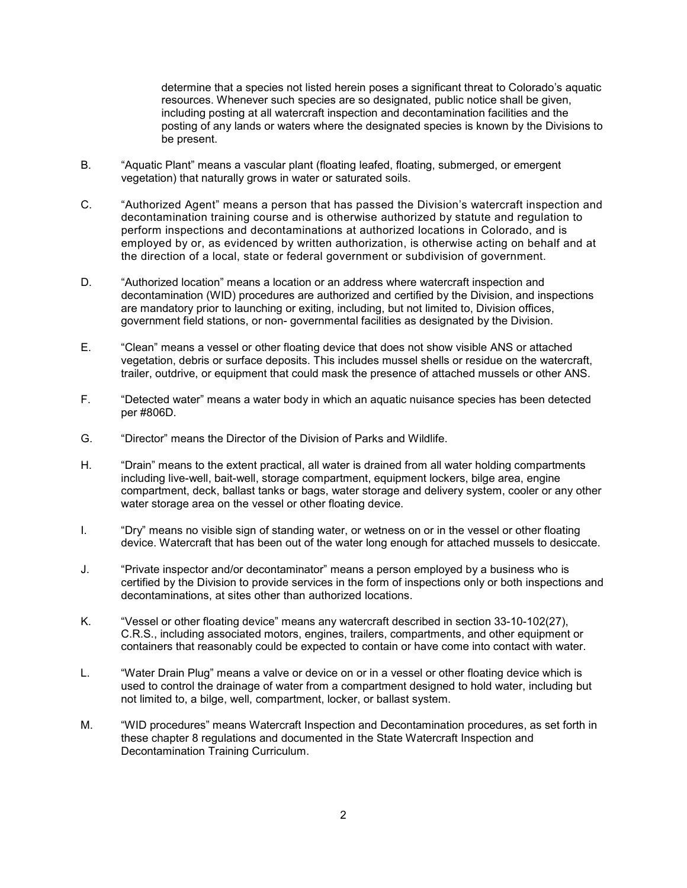determine that a species not listed herein poses a significant threat to Colorado's aquatic resources. Whenever such species are so designated, public notice shall be given, including posting at all watercraft inspection and decontamination facilities and the posting of any lands or waters where the designated species is known by the Divisions to be present.

- B. "Aquatic Plant" means a vascular plant (floating leafed, floating, submerged, or emergent vegetation) that naturally grows in water or saturated soils.
- C. "Authorized Agent" means a person that has passed the Division's watercraft inspection and decontamination training course and is otherwise authorized by statute and regulation to perform inspections and decontaminations at authorized locations in Colorado, and is employed by or, as evidenced by written authorization, is otherwise acting on behalf and at the direction of a local, state or federal government or subdivision of government.
- D. "Authorized location" means a location or an address where watercraft inspection and decontamination (WID) procedures are authorized and certified by the Division, and inspections are mandatory prior to launching or exiting, including, but not limited to, Division offices, government field stations, or non- governmental facilities as designated by the Division.
- E. "Clean" means a vessel or other floating device that does not show visible ANS or attached vegetation, debris or surface deposits. This includes mussel shells or residue on the watercraft, trailer, outdrive, or equipment that could mask the presence of attached mussels or other ANS.
- F. "Detected water" means a water body in which an aquatic nuisance species has been detected per #806D.
- G. "Director" means the Director of the Division of Parks and Wildlife.
- H. "Drain" means to the extent practical, all water is drained from all water holding compartments including live-well, bait-well, storage compartment, equipment lockers, bilge area, engine compartment, deck, ballast tanks or bags, water storage and delivery system, cooler or any other water storage area on the vessel or other floating device.
- I. "Dry" means no visible sign of standing water, or wetness on or in the vessel or other floating device. Watercraft that has been out of the water long enough for attached mussels to desiccate.
- J. "Private inspector and/or decontaminator" means a person employed by a business who is certified by the Division to provide services in the form of inspections only or both inspections and decontaminations, at sites other than authorized locations.
- K. "Vessel or other floating device" means any watercraft described in section 33-10-102(27), C.R.S., including associated motors, engines, trailers, compartments, and other equipment or containers that reasonably could be expected to contain or have come into contact with water.
- L. "Water Drain Plug" means a valve or device on or in a vessel or other floating device which is used to control the drainage of water from a compartment designed to hold water, including but not limited to, a bilge, well, compartment, locker, or ballast system.
- M. "WID procedures" means Watercraft Inspection and Decontamination procedures, as set forth in these chapter 8 regulations and documented in the State Watercraft Inspection and Decontamination Training Curriculum.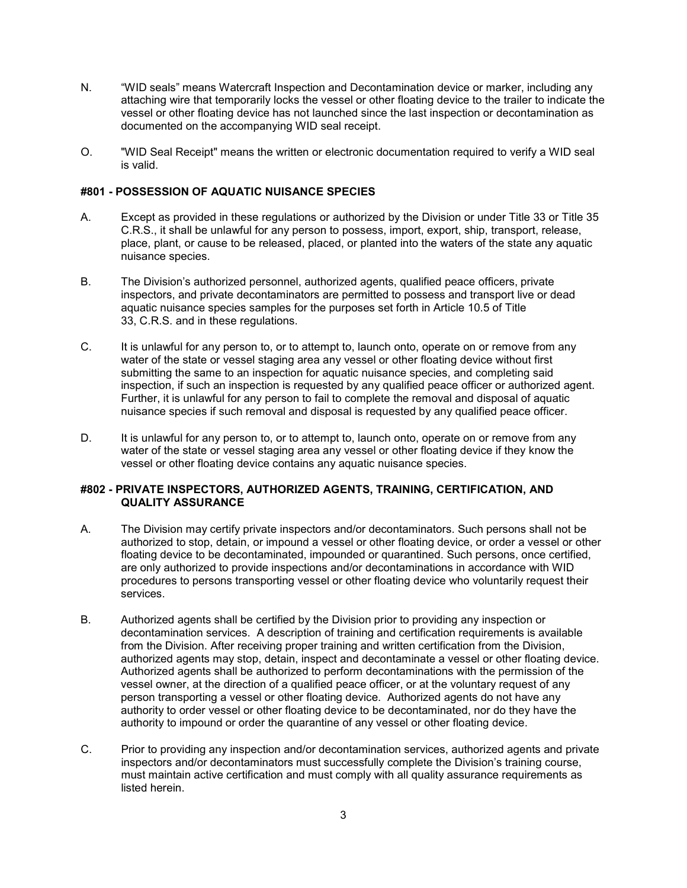- N. "WID seals" means Watercraft Inspection and Decontamination device or marker, including any attaching wire that temporarily locks the vessel or other floating device to the trailer to indicate the vessel or other floating device has not launched since the last inspection or decontamination as documented on the accompanying WID seal receipt.
- O. "WID Seal Receipt" means the written or electronic documentation required to verify a WID seal is valid.

### **#801 - POSSESSION OF AQUATIC NUISANCE SPECIES**

- A. Except as provided in these regulations or authorized by the Division or under Title 33 or Title 35 C.R.S., it shall be unlawful for any person to possess, import, export, ship, transport, release, place, plant, or cause to be released, placed, or planted into the waters of the state any aquatic nuisance species.
- B. The Division's authorized personnel, authorized agents, qualified peace officers, private inspectors, and private decontaminators are permitted to possess and transport live or dead aquatic nuisance species samples for the purposes set forth in Article 10.5 of Title 33, C.R.S. and in these regulations.
- C. It is unlawful for any person to, or to attempt to, launch onto, operate on or remove from any water of the state or vessel staging area any vessel or other floating device without first submitting the same to an inspection for aquatic nuisance species, and completing said inspection, if such an inspection is requested by any qualified peace officer or authorized agent. Further, it is unlawful for any person to fail to complete the removal and disposal of aquatic nuisance species if such removal and disposal is requested by any qualified peace officer.
- D. It is unlawful for any person to, or to attempt to, launch onto, operate on or remove from any water of the state or vessel staging area any vessel or other floating device if they know the vessel or other floating device contains any aquatic nuisance species.

### <span id="page-3-0"></span>**#802 - PRIVATE INSPECTORS, AUTHORIZED AGENTS, TRAINING, CERTIFICATION, AND QUALITY ASSURANCE**

- A. The Division may certify private inspectors and/or decontaminators. Such persons shall not be authorized to stop, detain, or impound a vessel or other floating device, or order a vessel or other floating device to be decontaminated, impounded or quarantined. Such persons, once certified, are only authorized to provide inspections and/or decontaminations in accordance with WID procedures to persons transporting vessel or other floating device who voluntarily request their services.
- B. Authorized agents shall be certified by the Division prior to providing any inspection or decontamination services. A description of training and certification requirements is available from the Division. After receiving proper training and written certification from the Division, authorized agents may stop, detain, inspect and decontaminate a vessel or other floating device. Authorized agents shall be authorized to perform decontaminations with the permission of the vessel owner, at the direction of a qualified peace officer, or at the voluntary request of any person transporting a vessel or other floating device. Authorized agents do not have any authority to order vessel or other floating device to be decontaminated, nor do they have the authority to impound or order the quarantine of any vessel or other floating device.
- C. Prior to providing any inspection and/or decontamination services, authorized agents and private inspectors and/or decontaminators must successfully complete the Division's training course, must maintain active certification and must comply with all quality assurance requirements as listed herein.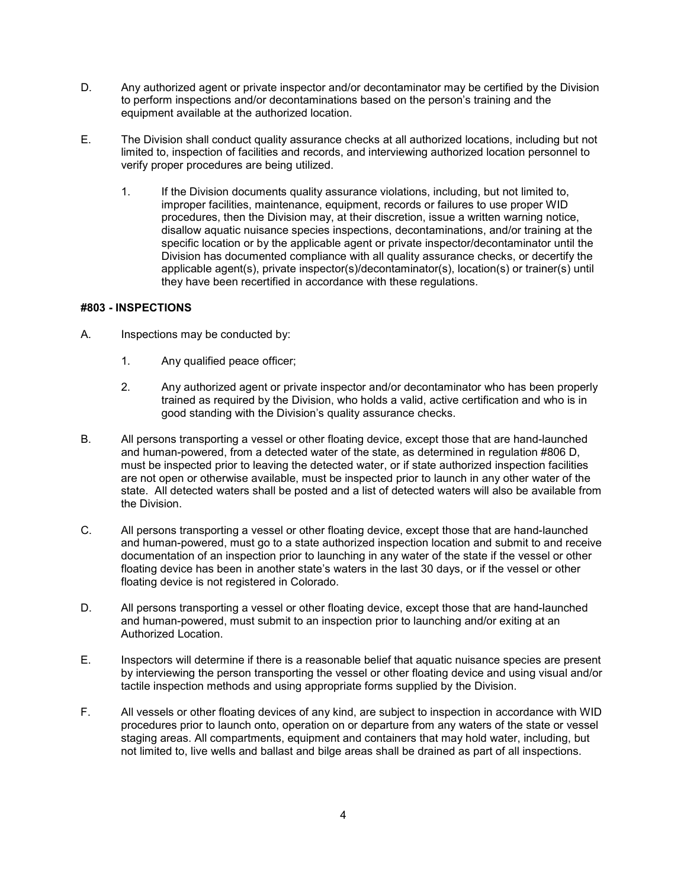- D. Any authorized agent or private inspector and/or decontaminator may be certified by the Division to perform inspections and/or decontaminations based on the person's training and the equipment available at the authorized location.
- E. The Division shall conduct quality assurance checks at all authorized locations, including but not limited to, inspection of facilities and records, and interviewing authorized location personnel to verify proper procedures are being utilized.
	- 1. If the Division documents quality assurance violations, including, but not limited to, improper facilities, maintenance, equipment, records or failures to use proper WID procedures, then the Division may, at their discretion, issue a written warning notice, disallow aquatic nuisance species inspections, decontaminations, and/or training at the specific location or by the applicable agent or private inspector/decontaminator until the Division has documented compliance with all quality assurance checks, or decertify the applicable agent(s), private inspector(s)/decontaminator(s), location(s) or trainer(s) until they have been recertified in accordance with these regulations.

### <span id="page-4-0"></span>**#803 - INSPECTIONS**

- A. Inspections may be conducted by:
	- 1. Any qualified peace officer;
	- 2. Any authorized agent or private inspector and/or decontaminator who has been properly trained as required by the Division, who holds a valid, active certification and who is in good standing with the Division's quality assurance checks.
- B. All persons transporting a vessel or other floating device, except those that are hand-launched and human-powered, from a detected water of the state, as determined in regulation #806 D, must be inspected prior to leaving the detected water, or if state authorized inspection facilities are not open or otherwise available, must be inspected prior to launch in any other water of the state. All detected waters shall be posted and a list of detected waters will also be available from the Division.
- C. All persons transporting a vessel or other floating device, except those that are hand-launched and human-powered, must go to a state authorized inspection location and submit to and receive documentation of an inspection prior to launching in any water of the state if the vessel or other floating device has been in another state's waters in the last 30 days, or if the vessel or other floating device is not registered in Colorado.
- D. All persons transporting a vessel or other floating device, except those that are hand-launched and human-powered, must submit to an inspection prior to launching and/or exiting at an Authorized Location.
- E. Inspectors will determine if there is a reasonable belief that aquatic nuisance species are present by interviewing the person transporting the vessel or other floating device and using visual and/or tactile inspection methods and using appropriate forms supplied by the Division.
- F. All vessels or other floating devices of any kind, are subject to inspection in accordance with WID procedures prior to launch onto, operation on or departure from any waters of the state or vessel staging areas. All compartments, equipment and containers that may hold water, including, but not limited to, live wells and ballast and bilge areas shall be drained as part of all inspections.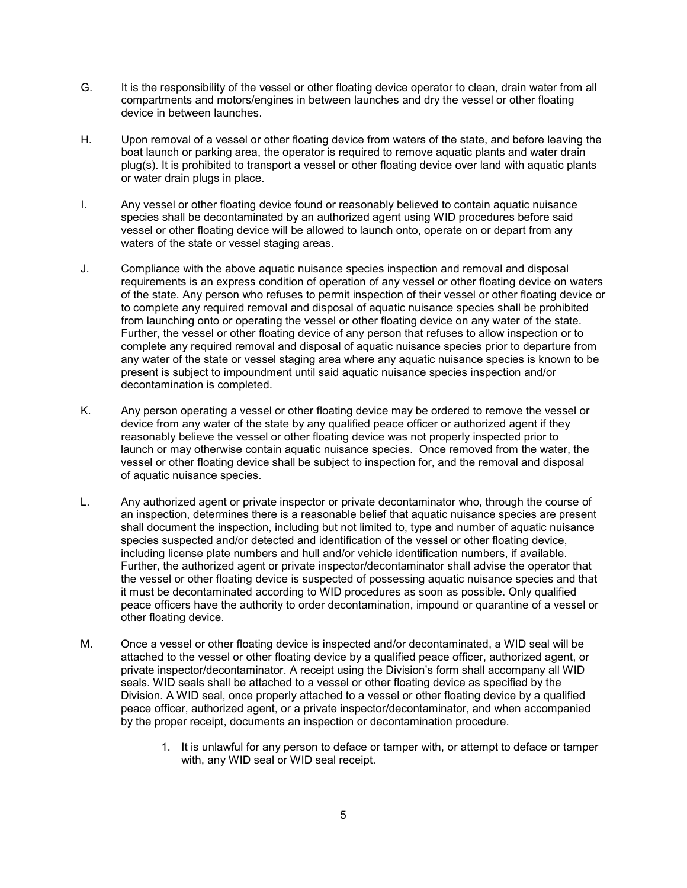- G. It is the responsibility of the vessel or other floating device operator to clean, drain water from all compartments and motors/engines in between launches and dry the vessel or other floating device in between launches.
- H. Upon removal of a vessel or other floating device from waters of the state, and before leaving the boat launch or parking area, the operator is required to remove aquatic plants and water drain plug(s). It is prohibited to transport a vessel or other floating device over land with aquatic plants or water drain plugs in place.
- I. Any vessel or other floating device found or reasonably believed to contain aquatic nuisance species shall be decontaminated by an authorized agent using WID procedures before said vessel or other floating device will be allowed to launch onto, operate on or depart from any waters of the state or vessel staging areas.
- J. Compliance with the above aquatic nuisance species inspection and removal and disposal requirements is an express condition of operation of any vessel or other floating device on waters of the state. Any person who refuses to permit inspection of their vessel or other floating device or to complete any required removal and disposal of aquatic nuisance species shall be prohibited from launching onto or operating the vessel or other floating device on any water of the state. Further, the vessel or other floating device of any person that refuses to allow inspection or to complete any required removal and disposal of aquatic nuisance species prior to departure from any water of the state or vessel staging area where any aquatic nuisance species is known to be present is subject to impoundment until said aquatic nuisance species inspection and/or decontamination is completed.
- K. Any person operating a vessel or other floating device may be ordered to remove the vessel or device from any water of the state by any qualified peace officer or authorized agent if they reasonably believe the vessel or other floating device was not properly inspected prior to launch or may otherwise contain aquatic nuisance species. Once removed from the water, the vessel or other floating device shall be subject to inspection for, and the removal and disposal of aquatic nuisance species.
- L. Any authorized agent or private inspector or private decontaminator who, through the course of an inspection, determines there is a reasonable belief that aquatic nuisance species are present shall document the inspection, including but not limited to, type and number of aquatic nuisance species suspected and/or detected and identification of the vessel or other floating device, including license plate numbers and hull and/or vehicle identification numbers, if available. Further, the authorized agent or private inspector/decontaminator shall advise the operator that the vessel or other floating device is suspected of possessing aquatic nuisance species and that it must be decontaminated according to WID procedures as soon as possible. Only qualified peace officers have the authority to order decontamination, impound or quarantine of a vessel or other floating device.
- M. Once a vessel or other floating device is inspected and/or decontaminated, a WID seal will be attached to the vessel or other floating device by a qualified peace officer, authorized agent, or private inspector/decontaminator. A receipt using the Division's form shall accompany all WID seals. WID seals shall be attached to a vessel or other floating device as specified by the Division. A WID seal, once properly attached to a vessel or other floating device by a qualified peace officer, authorized agent, or a private inspector/decontaminator, and when accompanied by the proper receipt, documents an inspection or decontamination procedure.
	- 1. It is unlawful for any person to deface or tamper with, or attempt to deface or tamper with, any WID seal or WID seal receipt.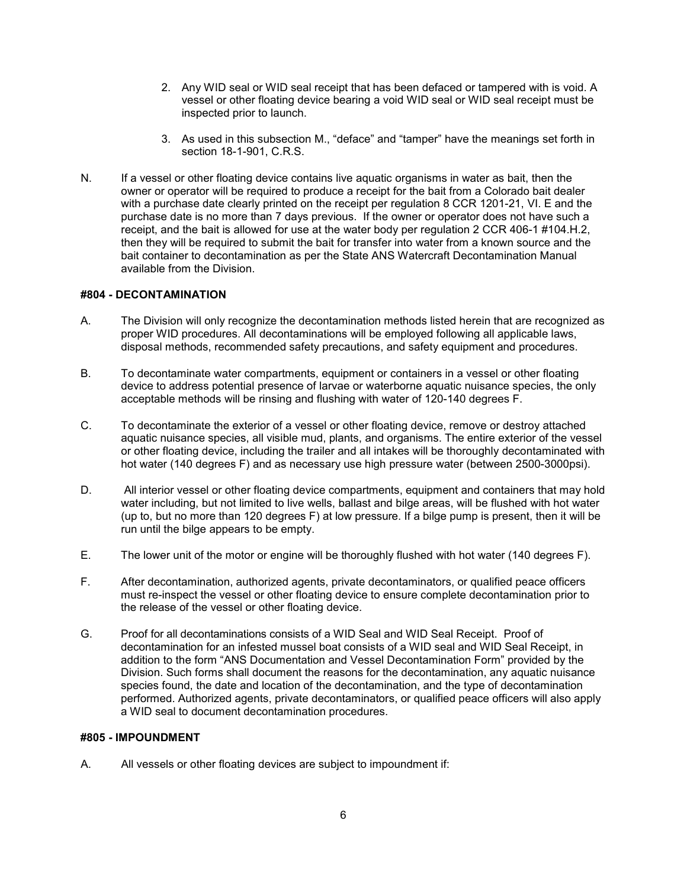- 2. Any WID seal or WID seal receipt that has been defaced or tampered with is void. A vessel or other floating device bearing a void WID seal or WID seal receipt must be inspected prior to launch.
- 3. As used in this subsection M., "deface" and "tamper" have the meanings set forth in section 18-1-901, C.R.S.
- N. If a vessel or other floating device contains live aquatic organisms in water as bait, then the owner or operator will be required to produce a receipt for the bait from a Colorado bait dealer with a purchase date clearly printed on the receipt per regulation 8 CCR 1201-21, VI. E and the purchase date is no more than 7 days previous. If the owner or operator does not have such a receipt, and the bait is allowed for use at the water body per regulation 2 CCR 406-1 #104.H.2, then they will be required to submit the bait for transfer into water from a known source and the bait container to decontamination as per the State ANS Watercraft Decontamination Manual available from the Division.

### <span id="page-6-0"></span>**#804 - DECONTAMINATION**

- A. The Division will only recognize the decontamination methods listed herein that are recognized as proper WID procedures. All decontaminations will be employed following all applicable laws, disposal methods, recommended safety precautions, and safety equipment and procedures.
- B. To decontaminate water compartments, equipment or containers in a vessel or other floating device to address potential presence of larvae or waterborne aquatic nuisance species, the only acceptable methods will be rinsing and flushing with water of 120-140 degrees F.
- C. To decontaminate the exterior of a vessel or other floating device, remove or destroy attached aquatic nuisance species, all visible mud, plants, and organisms. The entire exterior of the vessel or other floating device, including the trailer and all intakes will be thoroughly decontaminated with hot water (140 degrees F) and as necessary use high pressure water (between 2500-3000psi).
- D. All interior vessel or other floating device compartments, equipment and containers that may hold water including, but not limited to live wells, ballast and bilge areas, will be flushed with hot water (up to, but no more than 120 degrees F) at low pressure. If a bilge pump is present, then it will be run until the bilge appears to be empty.
- E. The lower unit of the motor or engine will be thoroughly flushed with hot water (140 degrees F).
- F. After decontamination, authorized agents, private decontaminators, or qualified peace officers must re-inspect the vessel or other floating device to ensure complete decontamination prior to the release of the vessel or other floating device.
- G. Proof for all decontaminations consists of a WID Seal and WID Seal Receipt. Proof of decontamination for an infested mussel boat consists of a WID seal and WID Seal Receipt, in addition to the form "ANS Documentation and Vessel Decontamination Form" provided by the Division. Such forms shall document the reasons for the decontamination, any aquatic nuisance species found, the date and location of the decontamination, and the type of decontamination performed. Authorized agents, private decontaminators, or qualified peace officers will also apply a WID seal to document decontamination procedures.

#### <span id="page-6-1"></span>**#805 - IMPOUNDMENT**

A. All vessels or other floating devices are subject to impoundment if: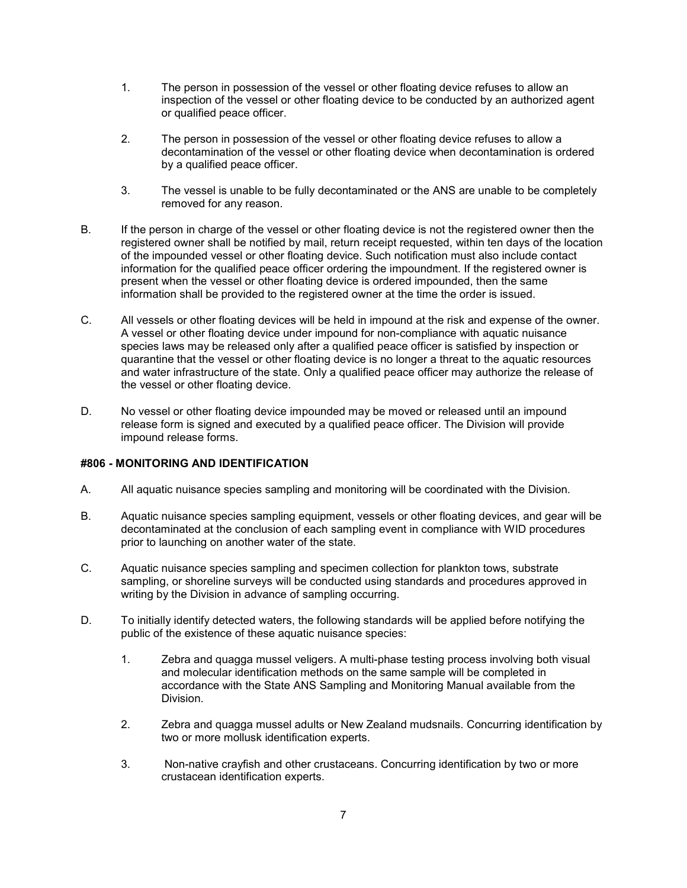- 1. The person in possession of the vessel or other floating device refuses to allow an inspection of the vessel or other floating device to be conducted by an authorized agent or qualified peace officer.
- 2. The person in possession of the vessel or other floating device refuses to allow a decontamination of the vessel or other floating device when decontamination is ordered by a qualified peace officer.
- 3. The vessel is unable to be fully decontaminated or the ANS are unable to be completely removed for any reason.
- B. If the person in charge of the vessel or other floating device is not the registered owner then the registered owner shall be notified by mail, return receipt requested, within ten days of the location of the impounded vessel or other floating device. Such notification must also include contact information for the qualified peace officer ordering the impoundment. If the registered owner is present when the vessel or other floating device is ordered impounded, then the same information shall be provided to the registered owner at the time the order is issued.
- C. All vessels or other floating devices will be held in impound at the risk and expense of the owner. A vessel or other floating device under impound for non-compliance with aquatic nuisance species laws may be released only after a qualified peace officer is satisfied by inspection or quarantine that the vessel or other floating device is no longer a threat to the aquatic resources and water infrastructure of the state. Only a qualified peace officer may authorize the release of the vessel or other floating device.
- D. No vessel or other floating device impounded may be moved or released until an impound release form is signed and executed by a qualified peace officer. The Division will provide impound release forms.

## <span id="page-7-0"></span>**#806 - MONITORING AND IDENTIFICATION**

- A. All aquatic nuisance species sampling and monitoring will be coordinated with the Division.
- B. Aquatic nuisance species sampling equipment, vessels or other floating devices, and gear will be decontaminated at the conclusion of each sampling event in compliance with WID procedures prior to launching on another water of the state.
- C. Aquatic nuisance species sampling and specimen collection for plankton tows, substrate sampling, or shoreline surveys will be conducted using standards and procedures approved in writing by the Division in advance of sampling occurring.
- D. To initially identify detected waters, the following standards will be applied before notifying the public of the existence of these aquatic nuisance species:
	- 1. Zebra and quagga mussel veligers. A multi-phase testing process involving both visual and molecular identification methods on the same sample will be completed in accordance with the State ANS Sampling and Monitoring Manual available from the Division.
	- 2. Zebra and quagga mussel adults or New Zealand mudsnails. Concurring identification by two or more mollusk identification experts.
	- 3. Non-native crayfish and other crustaceans. Concurring identification by two or more crustacean identification experts.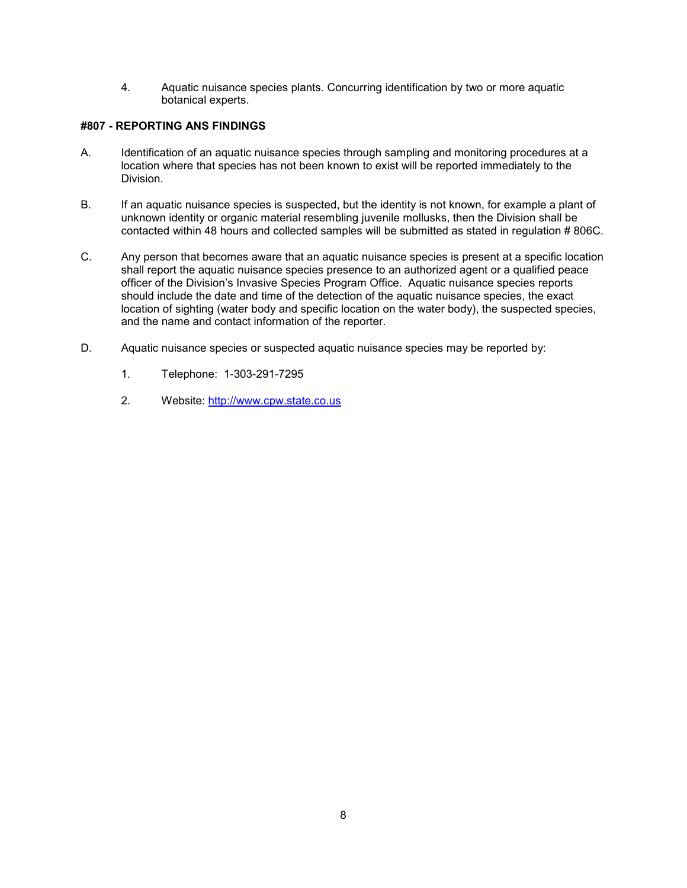4. Aquatic nuisance species plants. Concurring identification by two or more aquatic botanical experts.

# <span id="page-8-0"></span>**#807 - REPORTING ANS FINDINGS**

- A. Identification of an aquatic nuisance species through sampling and monitoring procedures at a location where that species has not been known to exist will be reported immediately to the Division.
- B. If an aquatic nuisance species is suspected, but the identity is not known, for example a plant of unknown identity or organic material resembling juvenile mollusks, then the Division shall be contacted within 48 hours and collected samples will be submitted as stated in regulation # 806C.
- C. Any person that becomes aware that an aquatic nuisance species is present at a specific location shall report the aquatic nuisance species presence to an authorized agent or a qualified peace officer of the Division's Invasive Species Program Office. Aquatic nuisance species reports should include the date and time of the detection of the aquatic nuisance species, the exact location of sighting (water body and specific location on the water body), the suspected species, and the name and contact information of the reporter.
- D. Aquatic nuisance species or suspected aquatic nuisance species may be reported by:
	- 1. Telephone: 1-303-291-7295
	- 2. Website: [http://www.cpw.state.co.us](http://www.cpw.state.co.us/)